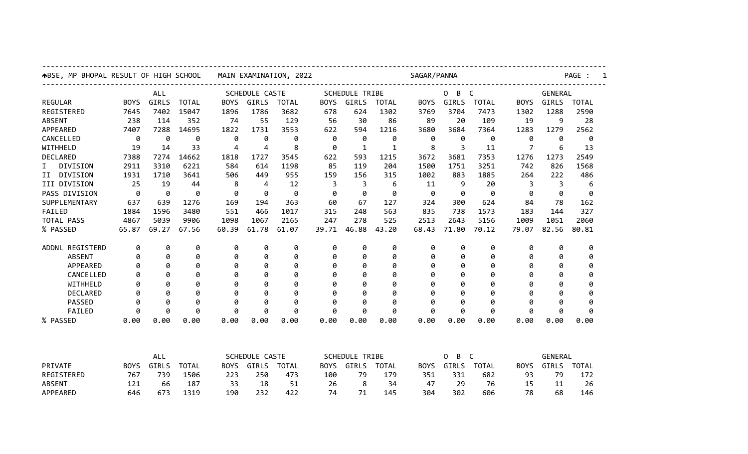| ABSE, MP BHOPAL RESULT OF HIGH SCHOOL |             |       |              |                       |       | MAIN EXAMINATION, 2022 |             |                       | PAGE :       |             |                        |              |             |       |                |  |  |  |
|---------------------------------------|-------------|-------|--------------|-----------------------|-------|------------------------|-------------|-----------------------|--------------|-------------|------------------------|--------------|-------------|-------|----------------|--|--|--|
|                                       |             | ALL   |              | <b>SCHEDULE CASTE</b> |       |                        |             | <b>SCHEDULE TRIBE</b> |              |             | $\mathsf{C}$<br>0<br>B |              |             |       | <b>GENERAL</b> |  |  |  |
| <b>REGULAR</b>                        | <b>BOYS</b> | GIRLS | <b>TOTAL</b> | <b>BOYS</b>           | GIRLS | <b>TOTAL</b>           | <b>BOYS</b> | GIRLS                 | <b>TOTAL</b> | <b>BOYS</b> | GIRLS                  | <b>TOTAL</b> | <b>BOYS</b> | GIRLS | <b>TOTAL</b>   |  |  |  |
| REGISTERED                            | 7645        | 7402  | 15047        | 1896                  | 1786  | 3682                   | 678         | 624                   | 1302         | 3769        | 3704                   | 7473         | 1302        | 1288  | 2590           |  |  |  |
| <b>ABSENT</b>                         | 238         | 114   | 352          | 74                    | 55    | 129                    | 56          | 30                    | 86           | 89          | 20                     | 109          | 19          | 9     | 28             |  |  |  |
| APPEARED                              | 7407        | 7288  | 14695        | 1822                  | 1731  | 3553                   | 622         | 594                   | 1216         | 3680        | 3684                   | 7364         | 1283        | 1279  | 2562           |  |  |  |
| CANCELLED                             | 0           | 0     | 0            | 0                     | 0     | 0                      | 0           | 0                     | 0            | 0           | 0                      | 0            | 0           | 0     | 0              |  |  |  |
| WITHHELD                              | 19          | 14    | 33           | 4                     | 4     | 8                      | 0           | 1                     | $\mathbf{1}$ | 8           | 3                      | 11           | 7           | 6     | 13             |  |  |  |
| DECLARED                              | 7388        | 7274  | 14662        | 1818                  | 1727  | 3545                   | 622         | 593                   | 1215         | 3672        | 3681                   | 7353         | 1276        | 1273  | 2549           |  |  |  |
| DIVISION<br>I.                        | 2911        | 3310  | 6221         | 584                   | 614   | 1198                   | 85          | 119                   | 204          | 1500        | 1751                   | 3251         | 742         | 826   | 1568           |  |  |  |
| DIVISION<br>II                        | 1931        | 1710  | 3641         | 506                   | 449   | 955                    | 159         | 156                   | 315          | 1002        | 883                    | 1885         | 264         | 222   | 486            |  |  |  |
| III DIVISION                          | 25          | 19    | 44           | 8                     | 4     | 12                     | 3           | 3                     | 6            | 11          | 9                      | 20           | 3           | 3     | 6              |  |  |  |
| PASS DIVISION                         | 0           | 0     | 0            | 0                     | 0     | 0                      | 0           | 0                     | 0            | 0           | 0                      | 0            | Ø           | 0     | 0              |  |  |  |
| SUPPLEMENTARY                         | 637         | 639   | 1276         | 169                   | 194   | 363                    | 60          | 67                    | 127          | 324         | 300                    | 624          | 84          | 78    | 162            |  |  |  |
| FAILED                                | 1884        | 1596  | 3480         | 551                   | 466   | 1017                   | 315         | 248                   | 563          | 835         | 738                    | 1573         | 183         | 144   | 327            |  |  |  |
| TOTAL PASS                            | 4867        | 5039  | 9906         | 1098                  | 1067  | 2165                   | 247         | 278                   | 525          | 2513        | 2643                   | 5156         | 1009        | 1051  | 2060           |  |  |  |
| % PASSED                              | 65.87       | 69.27 | 67.56        | 60.39                 | 61.78 | 61.07                  | 39.71       | 46.88                 | 43.20        | 68.43       | 71.80                  | 70.12        | 79.07       | 82.56 | 80.81          |  |  |  |
| ADDNL REGISTERD                       | 0           | 0     | 0            | 0                     | 0     | 0                      | 0           | 0                     | 0            | 0           | 0                      | 0            | 0           | 0     | 0              |  |  |  |
| <b>ABSENT</b>                         | 0           | 0     | 0            | 0                     | 0     | 0                      | 0           | 0                     | 0            | 0           | 0                      | 0            | 0           | 0     | 0              |  |  |  |
| APPEARED                              | 0           | 0     | 0            | 0                     | 0     | 0                      | 0           | 0                     | 0            | Ø           | 0                      | 0            | 0           | 0     | 0              |  |  |  |
| CANCELLED                             | 0           | ø     | ø            | 0                     | 0     | ø                      | 0           | ø                     | ø            | ø           | ø                      | Ø            | ø           | ø     | 0              |  |  |  |
| WITHHELD                              | 0           | 0     | 0            | 0                     | 0     | 0                      | 0           | 0                     | 0            | ø           | 0                      | 0            | 0           | 0     | 0              |  |  |  |
| <b>DECLARED</b>                       | 0           | 0     | 0            | 0                     | 0     | 0                      | 0           | 0                     | 0            | Ø           | 0                      | 0            | 0           | ø     | 0              |  |  |  |
| PASSED                                | 0           | 0     | 0            | 0                     | 0     | 0                      | 0           | 0                     | 0            | 0           | 0                      | 0            | 0           | 0     | 0              |  |  |  |
| FAILED                                | 0           | 0     | 0            | 0                     | 0     | 0                      | 0           | 0                     | 0            | 0           | 0                      | 0            | 0           | 0     | 0              |  |  |  |
| % PASSED                              | 0.00        | 0.00  | 0.00         | 0.00                  | 0.00  | 0.00                   | 0.00        | 0.00                  | 0.00         | 0.00        | 0.00                   | 0.00         | 0.00        | 0.00  | 0.00           |  |  |  |
|                                       |             |       |              |                       |       |                        |             |                       |              |             |                        |              |             |       |                |  |  |  |

| <b>PRIVATE</b> | ALL         |       |              |             | SCHEDULE CASTE |       |             | <b>SCHEDULE</b><br>TRIBE |              |             | . B C |              | GENERAL     |       |              |
|----------------|-------------|-------|--------------|-------------|----------------|-------|-------------|--------------------------|--------------|-------------|-------|--------------|-------------|-------|--------------|
|                | <b>BOYS</b> | GIRLS | <b>TOTAL</b> | <b>BOYS</b> | GIRLS          | TOTAL | <b>BOYS</b> | GIRLS                    | <b>TOTAL</b> | <b>BOYS</b> | GIRLS | <b>TOTAL</b> | <b>BOYS</b> | GIRLS | <b>TOTAL</b> |
| REGISTERED     | 767         | 739   | 1506         | 223         | 250            | 473   | 100         | 79                       | 179          | 351         | 331   | 682          | 93          | 79    | 172          |
| <b>ABSENT</b>  | 121         | 66    | 187          | 33          | 18             | 51    | 26          |                          | 34           | 47          | 29    |              |             | 11    | 26           |
| APPEARED       | 646         | 673   | 1319         | 190         | 232            | 422   | 74          |                          | 145          | 304         | 302   | 606          | 78          | 68    | 146          |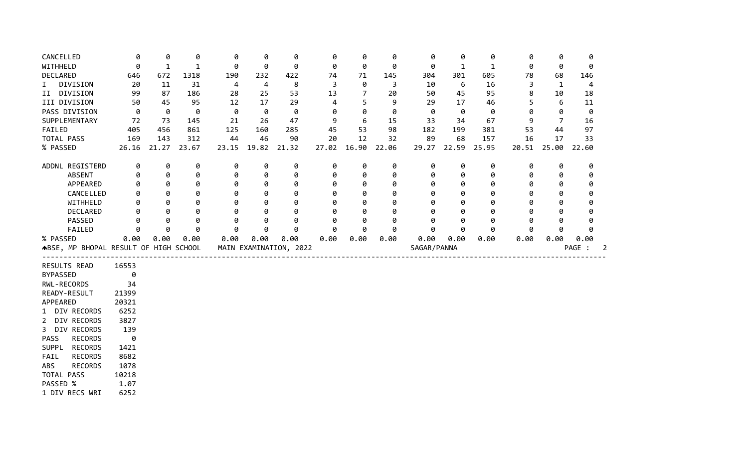| CANCELLED                             | 0            | 0            | 0            | 0     | 0     | 0                      | 0     | 0              | 0     | 0           | 0            | 0     | 0     | 0            | 0      |   |
|---------------------------------------|--------------|--------------|--------------|-------|-------|------------------------|-------|----------------|-------|-------------|--------------|-------|-------|--------------|--------|---|
| WITHHELD                              | 0            | $\mathbf{1}$ | $\mathbf{1}$ | 0     | 0     | 0                      | 0     | 0              | 0     | 0           | $\mathbf{1}$ | 1     | 0     | 0            | 0      |   |
| DECLARED                              | 646          | 672          | 1318         | 190   | 232   | 422                    | 74    | 71             | 145   | 304         | 301          | 605   | 78    | 68           | 146    |   |
| DIVISION<br>$\mathbf{I}$              | 20           | 11           | 31           | 4     | 4     | 8                      | 3     | 0              | 3     | 10          | 6            | 16    | 3     | $\mathbf{1}$ | 4      |   |
| II DIVISION                           | 99           | 87           | 186          | 28    | 25    | 53                     | 13    | $\overline{7}$ | 20    | 50          | 45           | 95    | 8     | 10           | 18     |   |
| III DIVISION                          | 50           | 45           | 95           | 12    | 17    | 29                     | 4     | 5              | 9     | 29          | 17           | 46    | 5     | 6            | 11     |   |
| PASS DIVISION                         | 0            | 0            | 0            | 0     | 0     | 0                      | 0     | 0              | 0     | 0           | 0            | 0     | Ø     | 0            | 0      |   |
| SUPPLEMENTARY                         | 72           | 73           | 145          | 21    | 26    | 47                     | 9     | 6              | 15    | 33          | 34           | 67    | 9     | 7            | 16     |   |
| FAILED                                | 405          | 456          | 861          | 125   | 160   | 285                    | 45    | 53             | 98    | 182         | 199          | 381   | 53    | 44           | 97     |   |
| TOTAL PASS                            | 169          | 143          | 312          | 44    | 46    | 90                     | 20    | 12             | 32    | 89          | 68           | 157   | 16    | 17           | 33     |   |
| % PASSED                              | 26.16        | 21.27        | 23.67        | 23.15 | 19.82 | 21.32                  | 27.02 | 16.90          | 22.06 | 29.27       | 22.59        | 25.95 | 20.51 | 25.00        | 22.60  |   |
| ADDNL REGISTERD                       | 0            | 0            | 0            | 0     | 0     | 0                      | 0     | 0              | 0     | 0           | 0            | 0     | 0     | 0            | 0      |   |
| <b>ABSENT</b>                         | 0            | 0            | 0            | 0     | 0     | 0                      | 0     | 0              | 0     | 0           | 0            | 0     | 0     | 0            | 0      |   |
| APPEARED                              | 0            | 0            | 0            | 0     | 0     | 0                      | 0     | 0              | 0     | 0           | 0            | 0     | ø     | 0            | 0      |   |
| CANCELLED                             |              | 0            | 0            | 0     | Ø     | 0                      | 0     | 0              | 0     | 0           | 0            | 0     | g     | 0            | 0      |   |
| WITHHELD                              |              | 0            | 0            | 0     | Ø     | 0                      | 0     | Ø              | a     | Ø           | 0            | ø     | A     | 0            | 0      |   |
| DECLARED                              |              | 0            | 0            | 0     | Ø     | 0                      | 0     | 0              | Ø     | Ø           | 0            | Ø     |       | 0            | 0      |   |
| PASSED                                | Ø            | 0            | 0            | 0     | 0     | 0                      | 0     | 0              | 0     | 0           | 0            | 0     |       | 0            | 0      |   |
| FAILED                                | 0            | 0            | 0            | 0     | 0     | 0                      | 0     | 0              | 0     | 0           | 0            | 0     | 0     | 0            | 0      |   |
| % PASSED                              | 0.00         | 0.00         | 0.00         | 0.00  | 0.00  | 0.00                   | 0.00  | 0.00           | 0.00  | 0.00        | 0.00         | 0.00  | 0.00  | 0.00         | 0.00   |   |
| ABSE, MP BHOPAL RESULT OF HIGH SCHOOL |              |              |              |       |       | MAIN EXAMINATION, 2022 |       |                |       | SAGAR/PANNA |              |       |       |              | PAGE : | 2 |
| RESULTS READ                          | 16553        |              |              |       |       |                        |       |                |       |             |              |       |       |              |        |   |
| <b>BYPASSED</b>                       | 0            |              |              |       |       |                        |       |                |       |             |              |       |       |              |        |   |
| RWL-RECORDS                           | 34           |              |              |       |       |                        |       |                |       |             |              |       |       |              |        |   |
| READY-RESULT                          | 21399        |              |              |       |       |                        |       |                |       |             |              |       |       |              |        |   |
| APPEARED                              | 20321        |              |              |       |       |                        |       |                |       |             |              |       |       |              |        |   |
| 1 DIV RECORDS                         | 6252         |              |              |       |       |                        |       |                |       |             |              |       |       |              |        |   |
| 2 DIV RECORDS                         | 3827         |              |              |       |       |                        |       |                |       |             |              |       |       |              |        |   |
| 3 DIV RECORDS                         | 139          |              |              |       |       |                        |       |                |       |             |              |       |       |              |        |   |
| PASS<br><b>RECORDS</b>                |              |              |              |       |       |                        |       |                |       |             |              |       |       |              |        |   |
|                                       | 0            |              |              |       |       |                        |       |                |       |             |              |       |       |              |        |   |
| <b>RECORDS</b><br><b>SUPPL</b>        | 1421         |              |              |       |       |                        |       |                |       |             |              |       |       |              |        |   |
| <b>RECORDS</b><br>FAIL                | 8682         |              |              |       |       |                        |       |                |       |             |              |       |       |              |        |   |
| ABS<br><b>RECORDS</b>                 | 1078         |              |              |       |       |                        |       |                |       |             |              |       |       |              |        |   |
| TOTAL PASS                            | 10218        |              |              |       |       |                        |       |                |       |             |              |       |       |              |        |   |
| PASSED %<br>1 DIV RECS WRI            | 1.07<br>6252 |              |              |       |       |                        |       |                |       |             |              |       |       |              |        |   |